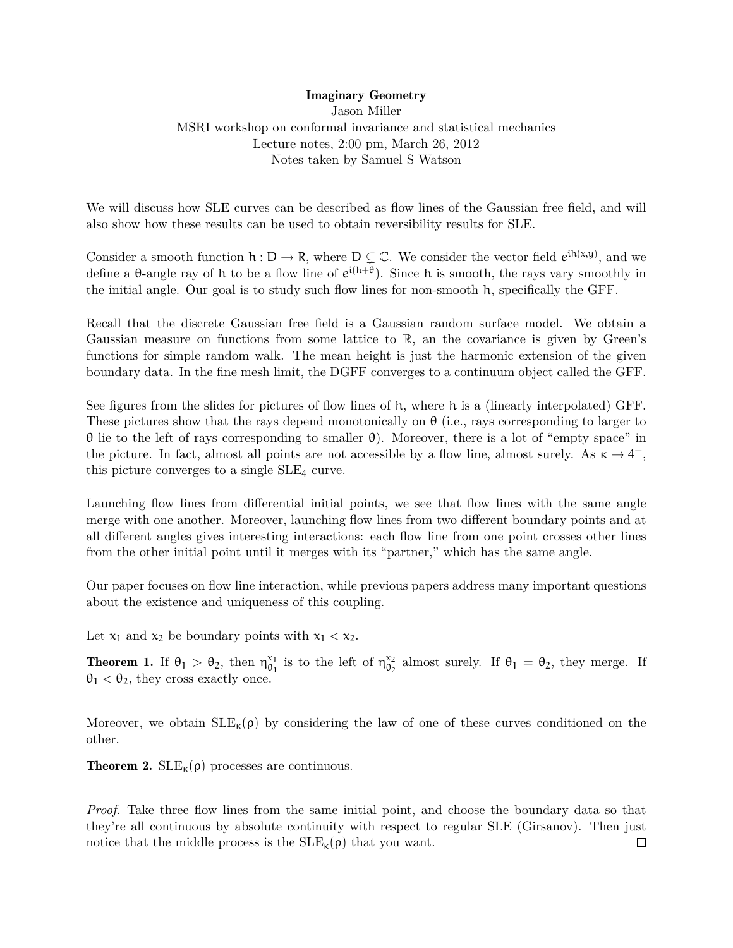## Imaginary Geometry

Jason Miller MSRI workshop on conformal invariance and statistical mechanics Lecture notes, 2:00 pm, March 26, 2012 Notes taken by Samuel S Watson

We will discuss how SLE curves can be described as flow lines of the Gaussian free field, and will also show how these results can be used to obtain reversibility results for SLE.

Consider a smooth function  $h : D \to R$ , where  $D \subsetneq C$ . We consider the vector field  $e^{ih(x,y)}$ , and we define a  $\theta$ -angle ray of h to be a flow line of  $e^{i(h+\theta)}$ . Since h is smooth, the rays vary smoothly in the initial angle. Our goal is to study such flow lines for non-smooth h, specifically the GFF.

Recall that the discrete Gaussian free field is a Gaussian random surface model. We obtain a Gaussian measure on functions from some lattice to R, an the covariance is given by Green's functions for simple random walk. The mean height is just the harmonic extension of the given boundary data. In the fine mesh limit, the DGFF converges to a continuum object called the GFF.

See figures from the slides for pictures of flow lines of h, where h is a (linearly interpolated) GFF. These pictures show that the rays depend monotonically on  $\theta$  (i.e., rays corresponding to larger to θ lie to the left of rays corresponding to smaller θ). Moreover, there is a lot of "empty space" in the picture. In fact, almost all points are not accessible by a flow line, almost surely. As  $\kappa \to 4^-$ , this picture converges to a single  $SLE_4$  curve.

Launching flow lines from differential initial points, we see that flow lines with the same angle merge with one another. Moreover, launching flow lines from two different boundary points and at all different angles gives interesting interactions: each flow line from one point crosses other lines from the other initial point until it merges with its "partner," which has the same angle.

Our paper focuses on flow line interaction, while previous papers address many important questions about the existence and uniqueness of this coupling.

Let  $x_1$  and  $x_2$  be boundary points with  $x_1 < x_2$ .

**Theorem 1.** If  $\theta_1 > \theta_2$ , then  $\eta_{\theta_1}^{\chi_1}$  $\begin{bmatrix} x_1 \\ \theta_1 \end{bmatrix}$  is to the left of  $\eta_{\theta_2}^{x_2}$  $\theta_2$  almost surely. If  $\theta_1 = \theta_2$ , they merge. If  $\theta_1 < \theta_2$ , they cross exactly once.

Moreover, we obtain  $SLE_{\kappa}(\rho)$  by considering the law of one of these curves conditioned on the other.

**Theorem 2.**  $SLE_{\kappa}(\rho)$  processes are continuous.

*Proof.* Take three flow lines from the same initial point, and choose the boundary data so that they're all continuous by absolute continuity with respect to regular SLE (Girsanov). Then just notice that the middle process is the  $SLE_{\kappa}(\rho)$  that you want.  $\Box$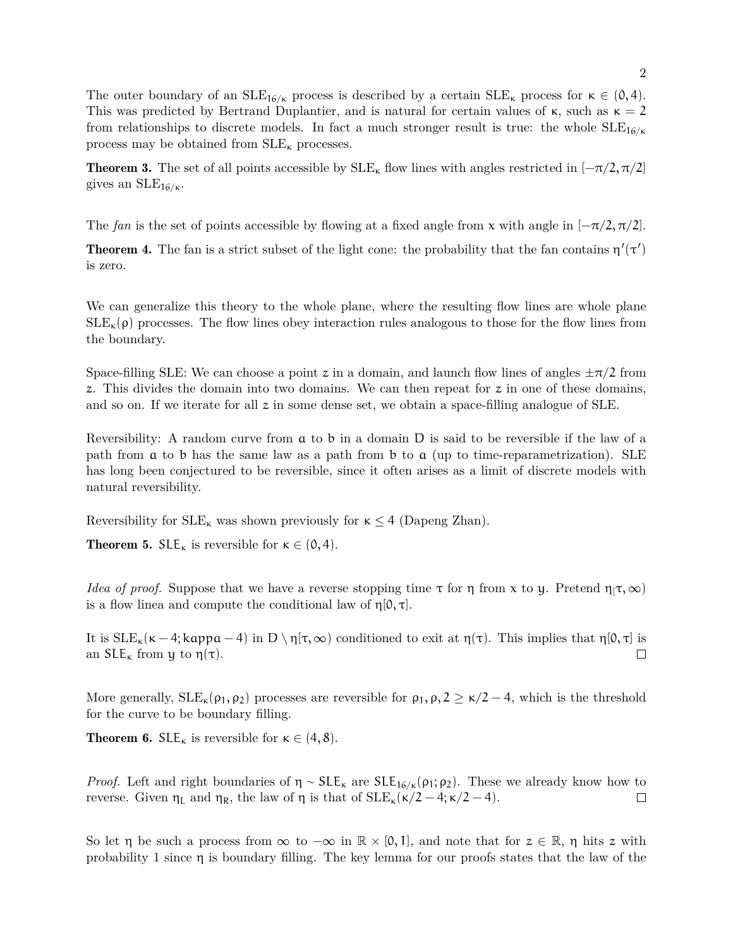The outer boundary of an  $SLE_{16/k}$  process is described by a certain  $SLE_{\kappa}$  process for  $\kappa \in (0, 4)$ . This was predicted by Bertrand Duplantier, and is natural for certain values of  $\kappa$ , such as  $\kappa = 2$ from relationships to discrete models. In fact a much stronger result is true: the whole  $SLE_{16/k}$ process may be obtained from  $\operatorname{SLE}_\kappa$  processes.

**Theorem 3.** The set of all points accessible by  $SLE_{\kappa}$  flow lines with angles restricted in  $[-\pi/2, \pi/2]$ gives an  $\text{SLE}_{16/\kappa}$ .

The *fan* is the set of points accessible by flowing at a fixed angle from x with angle in  $[-\pi/2, \pi/2]$ .

**Theorem 4.** The fan is a strict subset of the light cone: the probability that the fan contains  $\eta'(\tau')$ is zero.

We can generalize this theory to the whole plane, where the resulting flow lines are whole plane  $SLE_{\kappa}(\rho)$  processes. The flow lines obey interaction rules analogous to those for the flow lines from the boundary.

Space-filling SLE: We can choose a point z in a domain, and launch flow lines of angles  $\pm \pi/2$  from z. This divides the domain into two domains. We can then repeat for z in one of these domains, and so on. If we iterate for all z in some dense set, we obtain a space-filling analogue of SLE.

Reversibility: A random curve from a to b in a domain D is said to be reversible if the law of a path from a to b has the same law as a path from b to a (up to time-reparametrization). SLE has long been conjectured to be reversible, since it often arises as a limit of discrete models with natural reversibility.

Reversibility for  $SLE_{\kappa}$  was shown previously for  $\kappa \leq 4$  (Dapeng Zhan).

**Theorem 5.**  $SLE_{\kappa}$  is reversible for  $\kappa \in (0, 4)$ .

*Idea of proof.* Suppose that we have a reverse stopping time  $\tau$  for  $\eta$  from x to y. Pretend  $\eta_1 \tau, \infty$ ) is a flow linea and compute the conditional law of  $\eta[0, \tau]$ .

It is  $SLE_{\kappa}(\kappa - 4; \kappa p \mathfrak{a} - 4)$  in  $D \setminus \eta[\tau, \infty)$  conditioned to exit at  $\eta(\tau)$ . This implies that  $\eta[0, \tau]$  is an  $SLE_{\kappa}$  from u to  $\eta(\tau)$ . an  $SLE_{\kappa}$  from y to  $\eta(\tau)$ .

More generally,  $SLE_{\kappa}(\rho_1, \rho_2)$  processes are reversible for  $\rho_1, \rho, 2 \geq \kappa/2 - 4$ , which is the threshold for the curve to be boundary filling.

**Theorem 6.** SLE<sub>K</sub> is reversible for  $\kappa \in (4, 8)$ .

*Proof.* Left and right boundaries of  $\eta \sim SLE_k$  are  $SLE_{16/k}(\rho_1; \rho_2)$ . These we already know how to reverse. Given  $η$ <sub>L</sub> and  $η$ <sub>R</sub>, the law of η is that of  $SLE<sub>κ</sub>(κ/2-4;κ/2-4)$ .  $\Box$ 

So let  $\eta$  be such a process from  $\infty$  to  $-\infty$  in  $\mathbb{R} \times [0,1]$ , and note that for  $z \in \mathbb{R}$ ,  $\eta$  hits z with probability 1 since  $\eta$  is boundary filling. The key lemma for our proofs states that the law of the